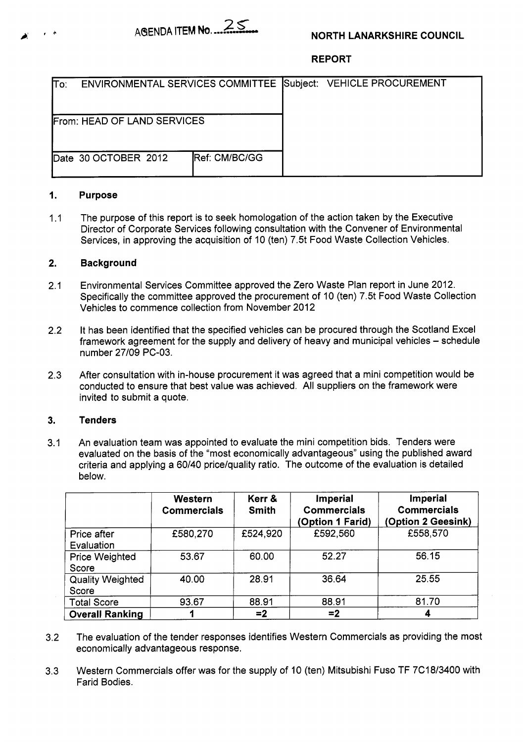

# **NORTH LANARKSHIRE COUNCIL**

# **REPORT**

| lTo:                               |                       |               | ENVIRONMENTAL SERVICES COMMITTEE Subject: VEHICLE PROCUREMENT |  |
|------------------------------------|-----------------------|---------------|---------------------------------------------------------------|--|
| <b>From: HEAD OF LAND SERVICES</b> |                       |               |                                                               |  |
|                                    | IDate 30 OCTOBER 2012 | Ref: CM/BC/GG |                                                               |  |

#### **1. Purpose**

 $1.1$ The purpose of this report is to seek homologation of the action taken by the Executive Director of Corporate Services following consultation with the Convener of Environmental Services, in approving the acquisition of 10 (ten) 7.5t Food Waste Collection Vehicles.

### **2. Background**

- 2.1 Environmental Services Committee approved the Zero Waste Plan report in June 2012. Specifically the committee approved the procurement of 10 (ten) 7.5t Food Waste Collection Vehicles to commence collection from November 2012
- 2.2 It has been identified that the specified vehicles can be procured through the Scotland Excel framework agreement for the supply and delivery of heavy and municipal vehicles – schedule number 27/09 PC-03.
- 2.3 After consultation with in-house procurement it was agreed that a mini competition would be conducted to ensure that best value was achieved. **All** suppliers on the framework were invited to submit a quote.

#### **3. Tenders**

3.1 An evaluation team was appointed to evaluate the mini competition bids. Tenders were evaluated on the basis of the "most economically advantageous" using the published award criteria and applying a 60/40 price/quality ratio. The outcome of the evaluation is detailed below.

|                                  | <b>Western</b><br><b>Commercials</b> | Kerr &<br><b>Smith</b> | Imperial<br><b>Commercials</b><br>(Option 1 Farid) | Imperial<br><b>Commercials</b><br>(Option 2 Geesink) |
|----------------------------------|--------------------------------------|------------------------|----------------------------------------------------|------------------------------------------------------|
| Price after<br>Evaluation        | £580,270                             | £524,920               | £592,560                                           | £558,570                                             |
| <b>Price Weighted</b><br>Score   | 53.67                                | 60.00                  | 52.27                                              | 56.15                                                |
| <b>Quality Weighted</b><br>Score | 40.00                                | 28.91                  | 36.64                                              | 25.55                                                |
| <b>Total Score</b>               | 93.67                                | 88.91                  | 88.91                                              | 81.70                                                |
| <b>Overall Ranking</b>           |                                      | $= 2$                  | $=2$                                               | 4                                                    |

- 3.2 The evaluation of the tender responses identifies Western Commercials as providing the most economically advantageous response.
- 3.3 Western Commercials offer was for the supply of 10 (ten) Mitsubishi Fuso TF 7C18/3400 with Farid Bodies.